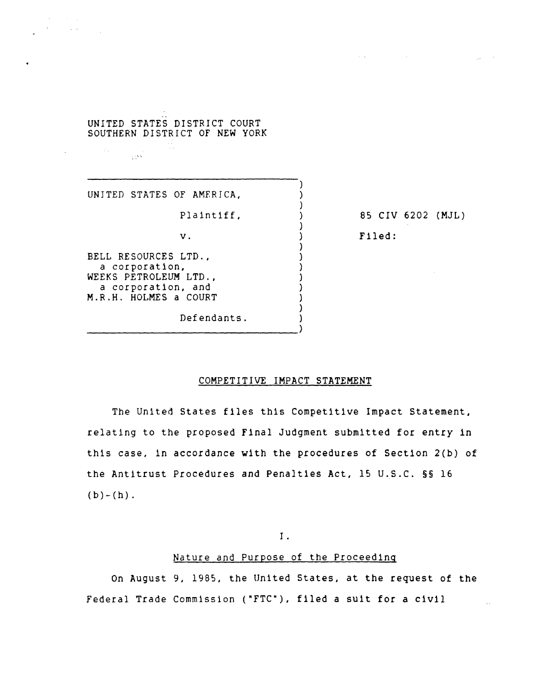# UNITED STATES DISTRICT COURT SOUTHERN DISTRICT OF NEW YORK

UNITED STATES OF AMERICA,

 $\sim$  15  $\rm{N}$ 

 $\sim$ 

**Carl Alling** 

Plaintiff,

v.

BELL RESOURCES LTD., a corporation, WEEKS PETROLEUM LTD., a corporation, and M.R.H. HOLMES a COURT

Defendants. ---------------------------------) 85 CIV 6202 (MJL) Filed:

 $\mathcal{A}(\mathbf{z})$  and  $\mathcal{A}(\mathbf{z})$  are  $\mathcal{A}(\mathbf{z})$  . Then

# COMPETITIVE IMPACT STATEMENT

) ) ) ) ) ) ) ) ) ) ) ) ) )

The United States files this Competitive Impact Statement, relating to the proposed Final Judgment submitted for entry in this case, in accordance with the procedures of Section 2{b) of the Antitrust Procedures and Penalties Act, 15 U.S.C. §§ 16  $(b)-(h)$ .

I .

#### Nature and Purpose of the Proceeding

On August 9, 1985, the United States, at the request of the Federal Trade Commission ("FTC"), filed a suit for a civil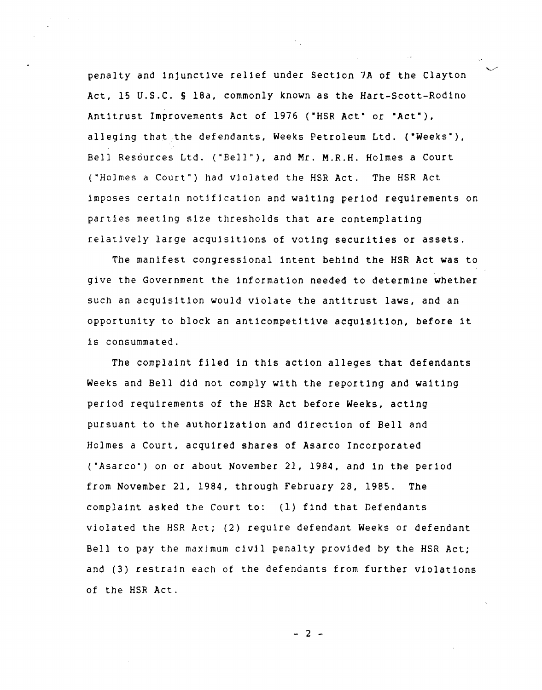penalty and injunctive relief under Section 7A of the Clayton Act, 15 U.S.C. § 18a, commonly known as the Hart-Scott-Rodlno Antitrust Improvements Act of 1976 ("HSR Act" or "Act"), alleging that the defendants, Weeks Petroleum Ltd. ("Weeks"), Bell Resources Ltd. ("Bell"), and Mr. M.R.H. Holmes a Court ("Holmes a Court") had violated the HSR Act. The HSR Act imposes certain notjfication and waiting period requirements on parties meeting size thresholds that are contemplating relatively large acquisitions of voting securities or assets.

The manifest congressional intent behind the HSR Act was to give the Government the information needed to determine whether such an acquisitIon would violate the antitrust laws, and an opportunity to block an anticompetitive acquisition, before it is consummated.

The complaint filed in this action alleges that defendants Weeks and Bell did not comply with the reporting and waiting period requirements of the HSR Act before Weeks, acting pursuant to the authorization and direction of Bell and Holmes a Court, acquired shares of Asarco Incorporated ("Asarco") on or about November 21, 1984, and in the period from November 21, 1984, through February 28, 1985. The complaint asked the Court to: (1) find that Defendants violated the HSR Act; (2) require defendant Weeks or defendant Bell to pay the maxjmum civil penalty provided by the HSR Act; and (3) restrain each of the defendants from further violations of the HSR Act.

- 2 -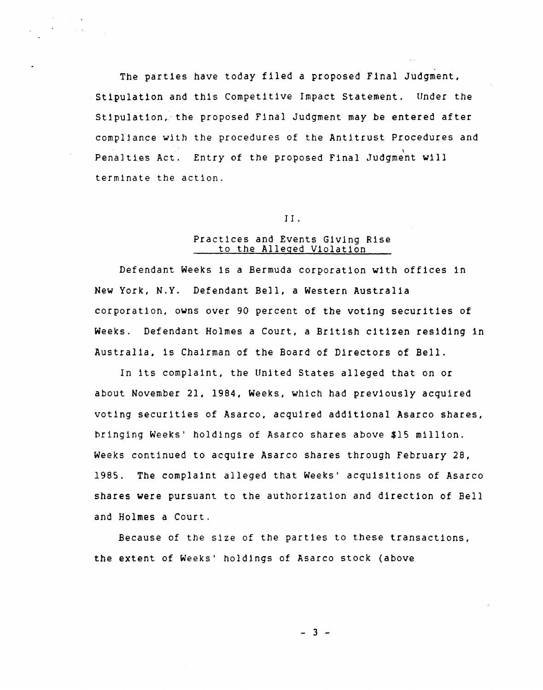The parties have today filed a proposed Final Judgment, Stipulation and this Competitive Impact Statement. Under the Stipulation, the proposed Final Judgment may be entered after compllance with the procedures of the Antitrust Procedures and Penalties Act. Entry of the proposed Final Judgment will terminate the action.

#### J J .

# Practices and Events Giving Rise to the Alleged Violation

Defendant Weeks is a Bermuda corporation with offices in New York, N.Y. Defendant Bell, a Western Australia corporation, owns over 90 percent of the voting securities of Weeks. Defendant Holmes a Court, a British citizen residing in Australia, is Chairman of the Board of Directors of Bell.

In its complaint, the United States alleged that on or about November 21, 1984, Weeks, which had previously acquired voting securities of Asarco, acquired additional Asarco shares, bringing Weeks' holdings of Asarco shares above \$15 million. Weeks continued to acquire Asarco shares through February 28, 1985. The complaint alleged that Weeks' acquisitions of Asarco shares were pursuant to the authorization and direction of Bell and Holmes a Court.

Because of the size of the parties to these transactions, the extent of Weeks' holdings of Asarco stock (above

 $-3 -$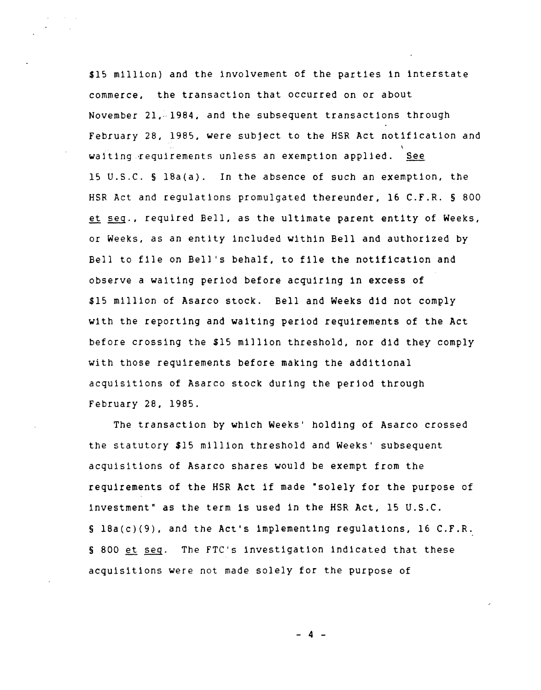\$15 million) and the involvement of the parties in interstate commerce, the transaction that occurred on or about November 21, 1984, and the subsequent transactions through February 28, 1985, were subject to the HSR Act notification and waiting requirements unless an exemption applied. See 15 U.S.C. § 18a(a). In the absence of such an exemption, the HSR Act and regulations promulgated thereunder, 16 C.F.R. § 800 et seq., required Bell, as the ultimate parent entity of Weeks, or Weeks, as an entity included within Bell and authorized by Bell to file on Bell's behalf, to file the notification and observe a waiting period before acquiring in excess of \$15 million of Asarco stock. Bell and Weeks did not comply with the reporting and waiting period requirements of the Act before crossing the \$15 million threshold, nor did they comply with those requirements before making the additional acquisitions of Asarco stock during the period through february 28, 1985.

The transaction by which Weeks' holding of Asarco crossed the statutory \$15 million threshold and Weeks' subsequent acquisitions of Asarco shares would be exempt from the requirements of the HSR Act if made "solely for the purpose of investment" as the term is used in the HSR Act, 15 U.S.C. S 18a(c)(9), and the Act's lmplementing regulations, 16 C.F.R. § 800 et seq. The FTC's investigation indicated that these acquisitions were not made solely for the purpose of

- 4 -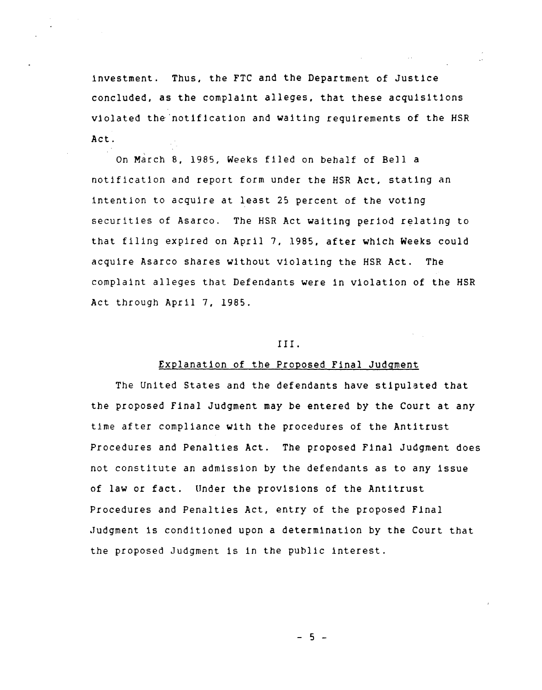investment. Thus, the FTC and the Department of Justice concluded, as the complaint alleges, that these acquisitions violated the 'notification and waiting requirements of the HSR Act.

, On March 8, 1985, Weeks filed on behalf of Bell a notification and report form under the HSR Act, stating an intention to acquire at least 25 percent of the voting securities of Asarco. The HSR Act waiting period relating to that filing expired on April 7, 1985, after which Weeks could acquire Asarco shares without violating the HSR Act. The complaint alleges that Defendants were in violation of the HSR Act through April 7, 1985.

#### I I I .

## Explanation of the Proposed Final Judgment

The United States and the defendants have stipulated that the proposed Final Judgment may be entered by the Court at any time after compliance with the procedures of the Antitrust Procedures and Penalties Act. The proposed Final Judgment does not constitute an admission by the defendants as to any issue of law or fact. Under the provisions of the Antitrust Procedures and Penalties Act, entry of the proposed Final .Judgment is conditioned upon a determination by the Court that the proposed Judgment is in the public interest.

- 5 -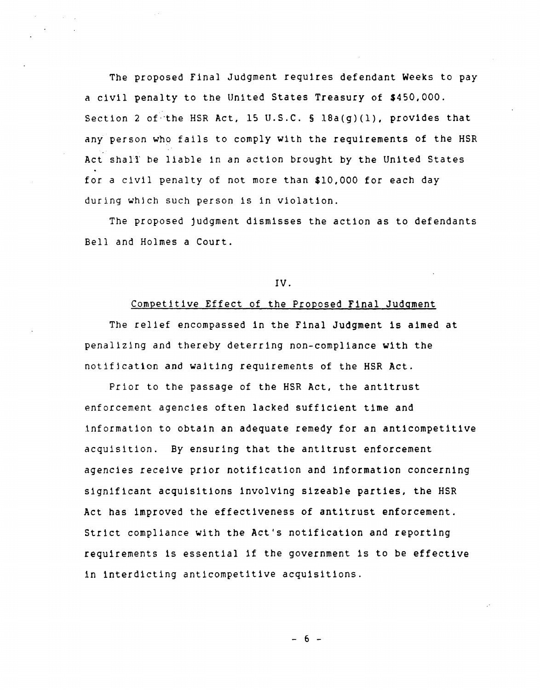The proposed Final Judgment requires defendant Weeks to pay a civil penalty to the United States Treasury of \$450,000. Section 2 of the HSR Act, 15 U.S.C.  $\S$  18a(g)(1), provides that any person who fails to comply with the requirements of the HSR Act shalt be liable 1n an action brought by the United States for a civil penalty of not more than \$10,000 for each day during which such person is in violation.

The proposed judgment dismisses the action as to defendants Bell and Holmes a Court.

#### IV.

## Competitive Effect of the Proposed Final Judgment

The relief encompassed in the Final Judgment is aimed at penalizing and thereby deterring non-compliance with the notifjcation and waiting requirements of the HSR Act.

Prior to the passage of the HSR Act, the antitrust enforcement agencies often lacked sufficient time and information to obtain an adequate remedy for an anticompetitive acquisition. By ensuring that the antitrust enforcement agencies receive prior notification and information concerning significant acquisitions involving sizeable parties, the HSR Act has improved the effectiveness of antitrust enforcement. Strict compliance with the Act's notification and reporting requirements is essential if the government is to be effective in interdicting anticompetitive acquisitions.

- 6 -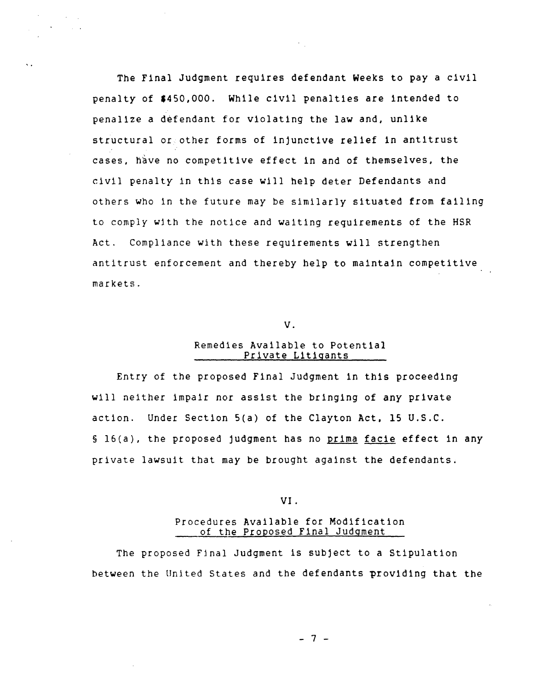The Final Judgment requires defendant Weeks to pay a civil penalty of \$450,000. While civil penalties are intended to penalize a defendant for violating the law and, unlike structural or other forms of injunctive relief in antitrust cases, have no competitive effect in and of themselves, the civil penalty in this case will help deter Defendants and others who in the future may be similarly situated from failing to comply with the notice and waiting requirements of the HSR Act. Compliance with these requirements will strengthen antitrust enforcement and thereby help to maintain competitive markets.

#### V.

#### Remedies Available to Potential Private Litigants

Entry of the proposed Final Judgment in this proceeding will neither impair nor assist the bringing of any private action. Under Section 5(a) of the Clayton Act, 15 U.S.C. § 16(a), the proposed judgment has no prima facie effect in any private lawsuit that may be brought against the defendants.

VI.

## Procedures Available for Modification of the Proposed Final Judgment

The proposed Final Judgment is subject to a Stipulation between the United States and the defendants providing that the

- 7 -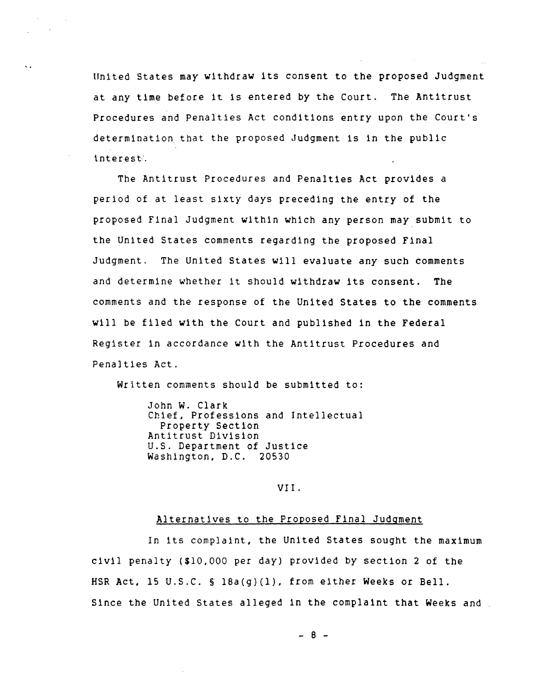United States may withdraw its consent to the proposed Judgment at any time before it is entered by the Court. The Antitrust Procedures and Penalties Act conditions entry upon the Court's determination that the proposed Judgment is in the public interest.

The Antitrust Procedures and Penalties Act provides a period of at least sixty days preceding the entry of the proposed Final Judgment within which any person may submit to the United States comments regarding the proposed Final Judgment. The United States will evaluate any such comments and determine whether it should withdraw its consent. The comments and the response of the United States to the comments will be filed with the Court and published in the Federal Register in accordance with the Antitrust Procedures and Penalties Act.

Written comments should be submitted to:

John W. Clark Chief, Professions and Intellectual Property Section Antitrust Division U.S. Department of Justice Washington, D.C. 20530

### VI!.

## Alternatives to the Proposed Final Judgment

In its complaint, the United States sought the maximum civil penalty (\$10,000 per day) provided by section 2 of the HSR Act, 15 U.S.C. § l8a(g)(1), from either Weeks or Bell. Since the United States alleged in the complaint that Weeks and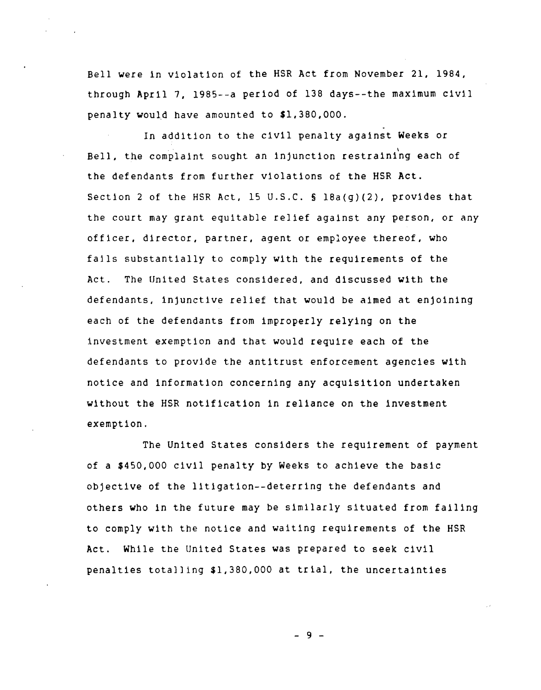Bell were in violation of the HSR Act from November 21, 1984, through April 7, 1985--a period of 138 days--the maximum civil penalty would have amounted to \$1,380,000.

In addition to the civil penalty against Weeks or Bell, the complaint sought an injunction restraining each of the defendants from further violations of the HSR Act. Section 2 of the HSR Act, 15 U.S.C. § l8a(g)(2), provides that the court may grant equitable relief against any person, or any officer, director, partner, agent or employee thereof, who falls substantially to comply with the requirements of the Act. The United States considered, and discussed with the defendants, injunctive relief that would be aimed at enjoining each of the defendants from improperly relying on the investment exemption and that would require each of the defendants to provide the antitrust enforcement agencies with notice and information concerning any acquisition undertaken without the HSR notification in reliance on the investment exemption.

The United States considers the requirement of payment of a \$450,000 civil penalty by Weeks to achieve the basic objective of the litigation--deterring the defendants and others who in the future may be similarly situated from failing to comply with the notice and waiting requirements of the HSR Act. While the United States was prepared to seek civil penalties totalling \$1,380,000 at trial, the uncertainties

- 9 -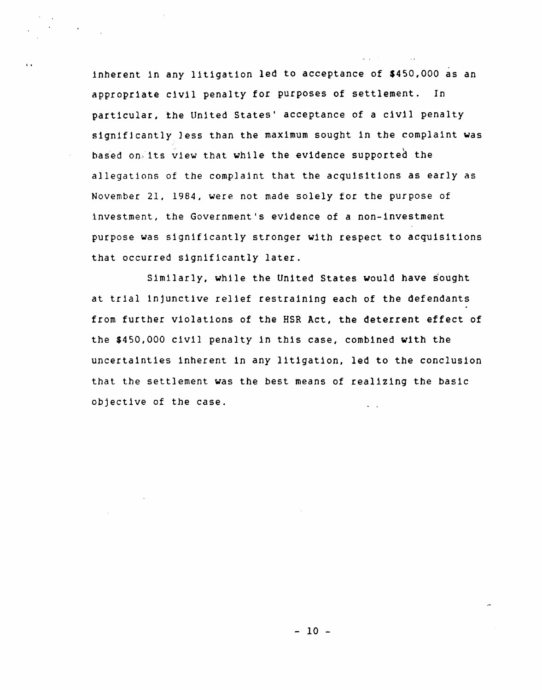inherent in any litigation led to acceptance of \$450,000 as an appropriate civil penalty for purposes of settlement. In particular, the United States' acceptance of a civil penalty significantly less than the maximum sought in the complaint was based on its view that while the evidence supported the allegations of the complaint that the acquisitions as early as *November* 21, 1984, were not made solely for the purpose of investment, the Government's evidence of a non-investment purpose was significantly stronger with respect to acquisitions that occurred significantly later.

Similarly, while the United States would have sought at trial injunctive relief restraining each of the defendants from further violations of the HSR Act, the deterrent effect of the \$450,000 civil penalty in this case, combined with the uncertainties inherent In any litigation, led to the conclusion that the settlement was the best means of realizing the basic objective of the case.